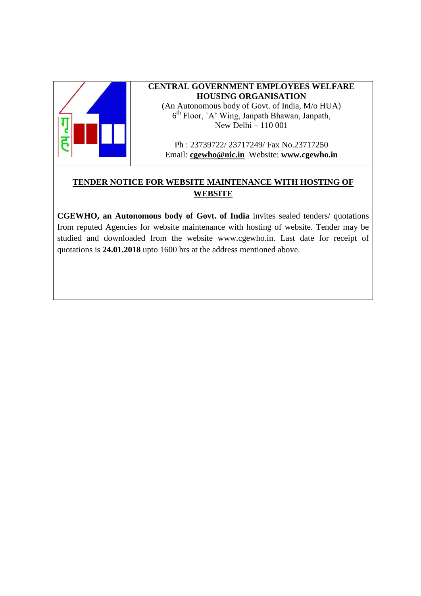

### **CENTRAL GOVERNMENT EMPLOYEES WELFARE HOUSING ORGANISATION** (An Autonomous body of Govt. of India, M/o HUA)

6 th Floor, `A' Wing, Janpath Bhawan, Janpath, New Delhi – 110 001

Ph : 23739722/ 23717249/ Fax No.23717250 Email: **[cgewho@nic.in](mailto:cgewho@nic.in)** Website: **www.cgewho.in**

# **TENDER NOTICE FOR WEBSITE MAINTENANCE WITH HOSTING OF WEBSITE**

**CGEWHO, an Autonomous body of Govt. of India** invites sealed tenders/ quotations from reputed Agencies for website maintenance with hosting of website. Tender may be studied and downloaded from the website [www.cgewho.in.](http://www.cgewho.in/) Last date for receipt of quotations is **24.01.2018** upto 1600 hrs at the address mentioned above.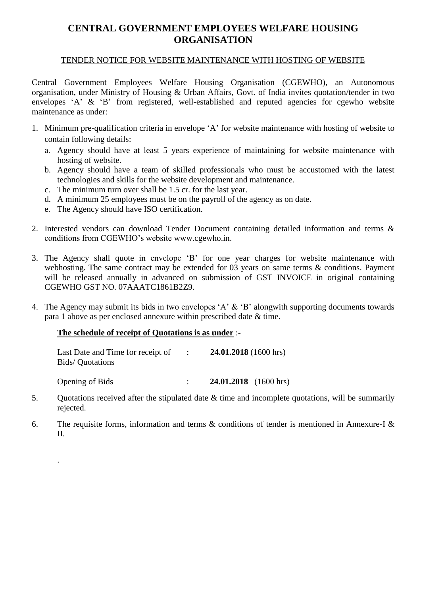# **CENTRAL GOVERNMENT EMPLOYEES WELFARE HOUSING ORGANISATION**

### TENDER NOTICE FOR WEBSITE MAINTENANCE WITH HOSTING OF WEBSITE

Central Government Employees Welfare Housing Organisation (CGEWHO), an Autonomous organisation, under Ministry of Housing & Urban Affairs, Govt. of India invites quotation/tender in two envelopes 'A' & 'B' from registered, well-established and reputed agencies for cgewho website maintenance as under:

- 1. Minimum pre-qualification criteria in envelope 'A' for website maintenance with hosting of website to contain following details:
	- a. Agency should have at least 5 years experience of maintaining for website maintenance with hosting of website.
	- b. Agency should have a team of skilled professionals who must be accustomed with the latest technologies and skills for the website development and maintenance.
	- c. The minimum turn over shall be 1.5 cr. for the last year.
	- d. A minimum 25 employees must be on the payroll of the agency as on date.
	- e. The Agency should have ISO certification.
- 2. Interested vendors can download Tender Document containing detailed information and terms & conditions from CGEWHO's website www.cgewho.in.
- 3. The Agency shall quote in envelope 'B' for one year charges for website maintenance with webhosting. The same contract may be extended for 03 years on same terms & conditions. Payment will be released annually in advanced on submission of GST INVOICE in original containing CGEWHO GST NO. 07AAATC1861B2Z9.
- 4. The Agency may submit its bids in two envelopes 'A' & 'B' alongwith supporting documents towards para 1 above as per enclosed annexure within prescribed date & time.

#### **The schedule of receipt of Quotations is as under** :-

.

| Last Date and Time for receipt of<br>Bids/Quotations | $\sim 1000$ km s $^{-1}$ | 24.01.2018 (1600 hrs)        |
|------------------------------------------------------|--------------------------|------------------------------|
| <b>Opening of Bids</b>                               |                          | <b>24.01.2018</b> (1600 hrs) |

- 5. Quotations received after the stipulated date & time and incomplete quotations, will be summarily rejected.
- 6. The requisite forms, information and terms & conditions of tender is mentioned in Annexure-I & II.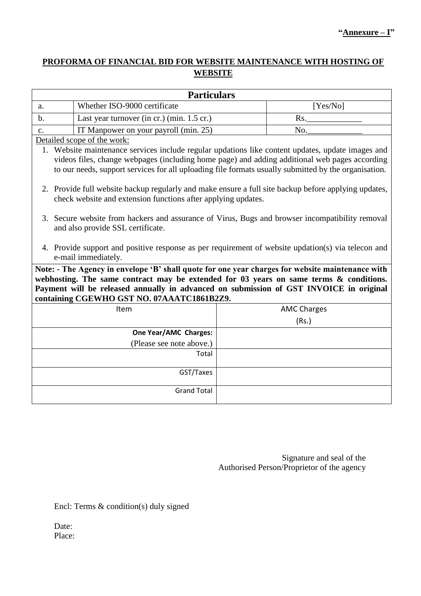# **PROFORMA OF FINANCIAL BID FOR WEBSITE MAINTENANCE WITH HOSTING OF WEBSITE**

| <b>Particulars</b>                                                                                                                                                                                                                                                                                                                 |                                                                                                                                                                       |  |                    |
|------------------------------------------------------------------------------------------------------------------------------------------------------------------------------------------------------------------------------------------------------------------------------------------------------------------------------------|-----------------------------------------------------------------------------------------------------------------------------------------------------------------------|--|--------------------|
| a.                                                                                                                                                                                                                                                                                                                                 | Whether ISO-9000 certificate                                                                                                                                          |  | [Yes/No]           |
| $\mathbf b$ .                                                                                                                                                                                                                                                                                                                      | Last year turnover (in cr.) (min. 1.5 cr.)                                                                                                                            |  | Rs.                |
| $C_{\bullet}$                                                                                                                                                                                                                                                                                                                      | IT Manpower on your payroll (min. 25)                                                                                                                                 |  | No.                |
|                                                                                                                                                                                                                                                                                                                                    | Detailed scope of the work:                                                                                                                                           |  |                    |
| 1. Website maintenance services include regular updations like content updates, update images and<br>videos files, change webpages (including home page) and adding additional web pages according<br>to our needs, support services for all uploading file formats usually submitted by the organisation.                         |                                                                                                                                                                       |  |                    |
|                                                                                                                                                                                                                                                                                                                                    | 2. Provide full website backup regularly and make ensure a full site backup before applying updates,<br>check website and extension functions after applying updates. |  |                    |
|                                                                                                                                                                                                                                                                                                                                    | 3. Secure website from hackers and assurance of Virus, Bugs and browser incompatibility removal<br>and also provide SSL certificate.                                  |  |                    |
|                                                                                                                                                                                                                                                                                                                                    | 4. Provide support and positive response as per requirement of website updation(s) via telecon and<br>e-mail immediately.                                             |  |                    |
| Note: - The Agency in envelope 'B' shall quote for one year charges for website maintenance with<br>webhosting. The same contract may be extended for 03 years on same terms & conditions.<br>Payment will be released annually in advanced on submission of GST INVOICE in original<br>containing CGEWHO GST NO. 07AAATC1861B2Z9. |                                                                                                                                                                       |  |                    |
|                                                                                                                                                                                                                                                                                                                                    | Item                                                                                                                                                                  |  | <b>AMC Charges</b> |
|                                                                                                                                                                                                                                                                                                                                    |                                                                                                                                                                       |  | (Rs.)              |
|                                                                                                                                                                                                                                                                                                                                    | One Year/AMC Charges:                                                                                                                                                 |  |                    |
|                                                                                                                                                                                                                                                                                                                                    | (Please see note above.)                                                                                                                                              |  |                    |
|                                                                                                                                                                                                                                                                                                                                    | Total                                                                                                                                                                 |  |                    |
|                                                                                                                                                                                                                                                                                                                                    | GST/Taxes                                                                                                                                                             |  |                    |
|                                                                                                                                                                                                                                                                                                                                    | <b>Grand Total</b>                                                                                                                                                    |  |                    |

Signature and seal of the Authorised Person/Proprietor of the agency

Encl: Terms & condition(s) duly signed

Date: Place: